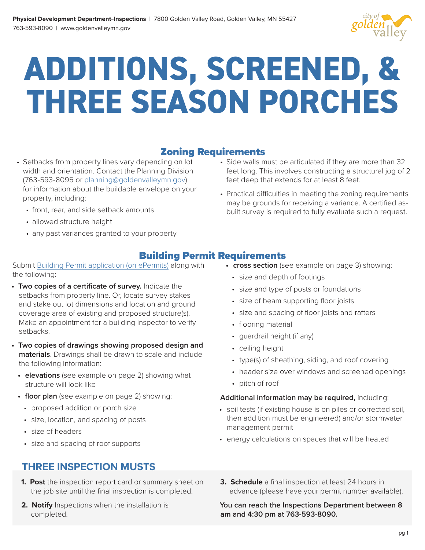

# **ADDITIONS, SCREENED, & THREE SEASON PORCHES**

#### Zoning Requirements

- Setbacks from property lines vary depending on lot width and orientation. Contact the Planning Division (763-593-8095 or [planning@goldenvalleymn.gov](mailto:planning%40goldenvalleymn.gov?subject=)) for information about the buildable envelope on your property, including:
	- front, rear, and side setback amounts
	- allowed structure height
	- any past variances granted to your property
- Side walls must be articulated if they are more than 32 feet long. This involves constructing a structural jog of 2 feet deep that extends for at least 8 feet.
- Practical difficulties in meeting the zoning requirements may be grounds for receiving a variance. A certified asbuilt survey is required to fully evaluate such a request.

#### Building Permit Requirements

#### Submit [Building Permit application \(on ePermits\)](https://epermits.logis.org/home.aspx?city=gv) along with the following:

- **• Two copies of a certificate of survey.** Indicate the setbacks from property line. Or, locate survey stakes and stake out lot dimensions and location and ground coverage area of existing and proposed structure(s). Make an appointment for a building inspector to verify setbacks.
- **• Two copies of drawings showing proposed design and materials**. Drawings shall be drawn to scale and include the following information:
	- **• elevations** (see example on page 2) showing what structure will look like
	- **• floor plan** (see example on page 2) showing:
		- proposed addition or porch size
		- size, location, and spacing of posts
		- size of headers
		- size and spacing of roof supports

#### **THREE INSPECTION MUSTS**

- **1. Post** the inspection report card or summary sheet on the job site until the final inspection is completed.
- **2. Notify** Inspections when the installation is completed.
- **• cross section** (see example on page 3) showing:
	- size and depth of footings
	- size and type of posts or foundations
	- size of beam supporting floor joists
	- size and spacing of floor joists and rafters
	- flooring material
	- guardrail height (if any)
	- ceiling height
	- type(s) of sheathing, siding, and roof covering
	- header size over windows and screened openings
	- pitch of roof

#### **Additional information may be required,** including:

- soil tests (if existing house is on piles or corrected soil, then addition must be engineered) and/or stormwater management permit
- energy calculations on spaces that will be heated
- **3. Schedule** a final inspection at least 24 hours in advance (please have your permit number available).

**You can reach the Inspections Department between 8 am and 4:30 pm at 763-593-8090.**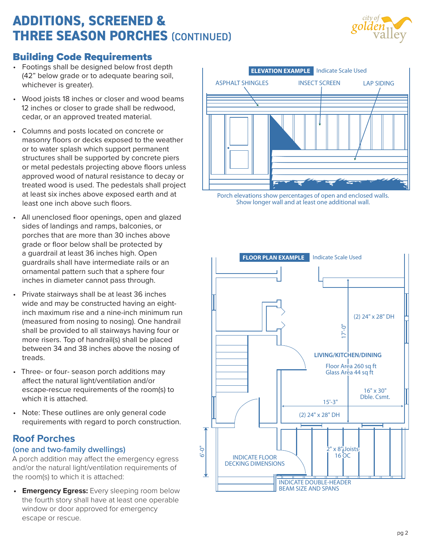# **ADDITIONS, SCREENED & THREE SEASON PORCHES** (CONTINUED)



#### Building Code Requirements

- Footings shall be designed below frost depth (42" below grade or to adequate bearing soil, whichever is greater).
- Wood joists 18 inches or closer and wood beams 12 inches or closer to grade shall be redwood. cedar, or an approved treated material.
- Columns and posts located on concrete or masonry floors or decks exposed to the weather or to water splash which support permanent structures shall be supported by concrete piers or metal pedestals projecting above floors unless approved wood of natural resistance to decay or treated wood is used. The pedestals shall project at least six inches above exposed earth and at least one inch above such floors.
- All unenclosed floor openings, open and glazed sides of landings and ramps, balconies, or porches that are more than 30 inches above grade or floor below shall be protected by a guardrail at least 36 inches high. Open guardrails shall have intermediate rails or an ornamental pattern such that a sphere four inches in diameter cannot pass through.
- Private stairways shall be at least 36 inches wide and may be constructed having an eightinch maximum rise and a nine-inch minimum run (measured from nosing to nosing). One handrail shall be provided to all stairways having four or more risers. Top of handrail(s) shall be placed between 34 and 38 inches above the nosing of treads.
- Three- or four- season porch additions may affect the natural light/ventilation and/or escape-rescue requirements of the room(s) to which it is attached.
- Note: These outlines are only general code requirements with regard to porch construction.

## **Roof Porches**

#### **(one and two-family dwellings)**

A porch addition may affect the emergency egress and/or the natural light/ventilation requirements of the room(s) to which it is attached:

**• Emergency Egress:** Every sleeping room below the fourth story shall have at least one operable window or door approved for emergency escape or rescue.



Porch elevations show percentages of open and enclosed walls. Show longer wall and at least one additional wall.

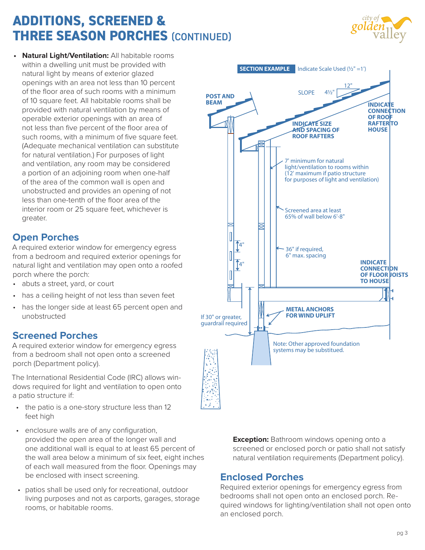# **ADDITIONS, SCREENED & THREE SEASON PORCHES** (CONTINUED)



**• Natural Light/Ventilation:** All habitable rooms within a dwelling unit must be provided with natural light by means of exterior glazed openings with an area not less than 10 percent of the floor area of such rooms with a minimum of 10 square feet. All habitable rooms shall be provided with natural ventilation by means of operable exterior openings with an area of not less than five percent of the floor area of such rooms, with a minimum of five square feet. (Adequate mechanical ventilation can substitute for natural ventilation.) For purposes of light and ventilation, any room may be considered a portion of an adjoining room when one-half of the area of the common wall is open and unobstructed and provides an opening of not less than one-tenth of the floor area of the interior room or 25 square feet, whichever is greater.

## **Open Porches**

A required exterior window for emergency egress from a bedroom and required exterior openings for natural light and ventilation may open onto a roofed porch where the porch:

- abuts a street, yard, or court
- has a ceiling height of not less than seven feet
- has the longer side at least 65 percent open and unobstructed

## **Screened Porches**

A required exterior window for emergency egress from a bedroom shall not open onto a screened porch (Department policy).

The International Residential Code (IRC) allows windows required for light and ventilation to open onto a patio structure if:

- the patio is a one-story structure less than 12 feet high
- enclosure walls are of any configuration, provided the open area of the longer wall and one additional wall is equal to at least 65 percent of the wall area below a minimum of six feet, eight inches of each wall measured from the floor. Openings may be enclosed with insect screening.
- patios shall be used only for recreational, outdoor living purposes and not as carports, garages, storage rooms, or habitable rooms.



**Exception:** Bathroom windows opening onto a screened or enclosed porch or patio shall not satisfy natural ventilation requirements (Department policy).

#### **Enclosed Porches**

Required exterior openings for emergency egress from bedrooms shall not open onto an enclosed porch. Required windows for lighting/ventilation shall not open onto an enclosed porch.